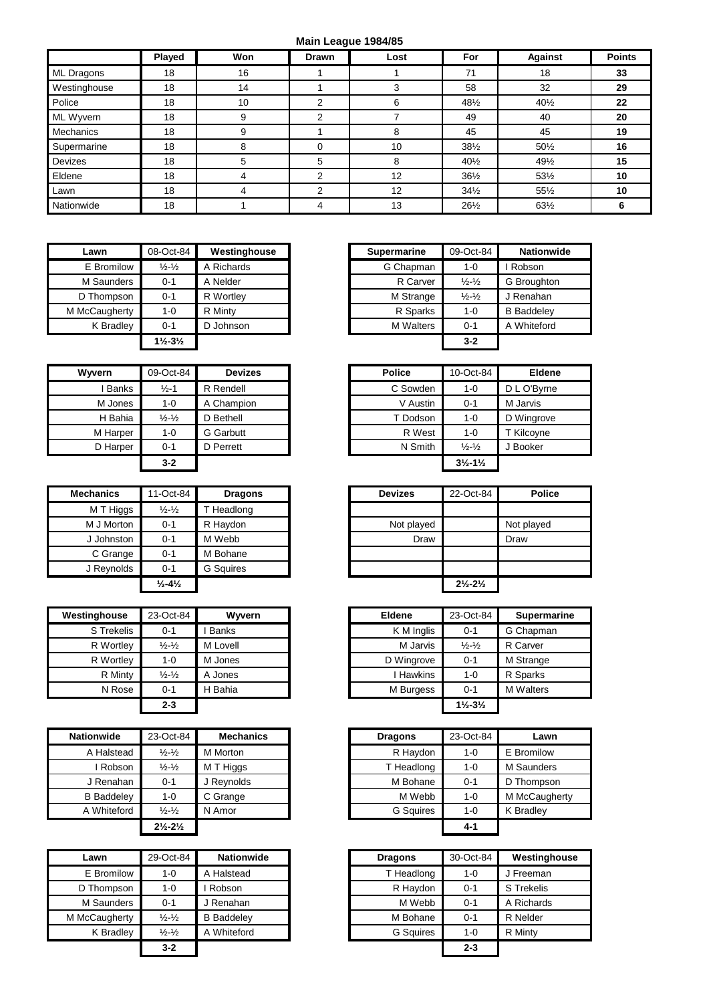## **Main League 1984/85**

|                | Played | Won | <b>Drawn</b> | Lost | For             | <b>Against</b>  | <b>Points</b> |
|----------------|--------|-----|--------------|------|-----------------|-----------------|---------------|
| ML Dragons     | 18     | 16  |              |      | 71              | 18              | 33            |
| Westinghouse   | 18     | 14  |              |      | 58              | 32              | 29            |
| Police         | 18     | 10  | 2            | 6    | 481/2           | 401/2           | $22 \,$       |
| ML Wyvern      | 18     | 9   | 2            |      | 49              | 40              | 20            |
| Mechanics      | 18     | 9   |              | 8    | 45              | 45              | 19            |
| Supermarine    | 18     | 8   | $\Omega$     | 10   | $38\frac{1}{2}$ | $50\frac{1}{2}$ | 16            |
| <b>Devizes</b> | 18     | 5   | 5            | 8    | $40\frac{1}{2}$ | 491/2           | 15            |
| Eldene         | 18     | 4   | 2            | 12   | $36\frac{1}{2}$ | 531/2           | 10            |
| Lawn           | 18     | 4   | ⌒            | 12   | $34\frac{1}{2}$ | $55\%$          | 10            |
| Nationwide     | 18     |     | 4            | 13   | 261/2           | 63½             | 6             |

| Lawn              | 08-Oct-84                     | Westinghouse | <b>Supermarine</b> | 09-Oct-84                   |
|-------------------|-------------------------------|--------------|--------------------|-----------------------------|
| E Bromilow        | $\frac{1}{2} - \frac{1}{2}$   | A Richards   | G Chapman          | 1-0                         |
| <b>M</b> Saunders | $0 - 1$                       | A Nelder     | R Carver           | $\frac{1}{2} - \frac{1}{2}$ |
| D Thompson        | $0 - 1$                       | R Wortley    | M Strange          | $\frac{1}{2} - \frac{1}{2}$ |
| M McCaugherty     | $1 - 0$                       | R Minty      | R Sparks           | $1 - 0$                     |
| K Bradley         | $0 - 1$                       | D Johnson    | <b>M</b> Walters   | $0 - 1$                     |
|                   | $1\frac{1}{2} - 3\frac{1}{2}$ |              |                    | $3 - 2$                     |

| Wyvern   | 09-Oct-84                   | <b>Devizes</b>   |
|----------|-----------------------------|------------------|
| I Banks  | $1/5 - 1$                   | R Rendell        |
| M Jones  | $1 - 0$                     | A Champion       |
| H Bahia  | $\frac{1}{2}$ $\frac{1}{2}$ | D Bethell        |
| M Harper | $1 - 0$                     | <b>G</b> Garbutt |
| D Harper | $0 - 1$                     | D Perrett        |
|          | $3 - 2$                     |                  |

| <b>Mechanics</b> | 11-Oct-84                    | <b>Dragons</b>   |
|------------------|------------------------------|------------------|
| M T Higgs        | $\frac{1}{2} - \frac{1}{2}$  | T Headlong       |
| M J Morton       | $0 - 1$                      | R Haydon         |
| J Johnston       | $0 - 1$                      | M Webb           |
| C Grange         | $0 - 1$                      | M Bohane         |
| J Reynolds       | $0 - 1$                      | <b>G</b> Squires |
|                  | $\frac{1}{2} - 4\frac{1}{2}$ |                  |

| Westinghouse | 23-Oct-84                   | Wyvern       | <b>Eldene</b> | 23-Oct-84                     | <b>Supermarine</b> |
|--------------|-----------------------------|--------------|---------------|-------------------------------|--------------------|
| S Trekelis   | $0 - 1$                     | <b>Banks</b> | K M Inglis    | $0 - 1$                       | G Chapman          |
| R Wortley    | $\frac{1}{2} - \frac{1}{2}$ | M Lovell     | M Jarvis      | $\frac{1}{2} - \frac{1}{2}$   | R Carver           |
| R Wortley    | 1-0                         | M Jones      | D Wingrove    | $0 - 1$                       | M Strange          |
| R Minty      | $\frac{1}{2} - \frac{1}{2}$ | A Jones      | Hawkins       | $1 - 0$                       | R Sparks           |
| N Rose       | $0 - 1$                     | H Bahia      | M Burgess     | $0 - 1$                       | <b>M</b> Walters   |
|              | $2 - 3$                     |              |               | $1\frac{1}{2} - 3\frac{1}{2}$ |                    |

| <b>Nationwide</b> | 23-Oct-84                     | <b>Mechanics</b> | <b>Dragons</b>   | 23-Oct-84 |                  |
|-------------------|-------------------------------|------------------|------------------|-----------|------------------|
| A Halstead        | $\frac{1}{2} - \frac{1}{2}$   | M Morton         | R Haydon         | $1 - 0$   | E Bromilow       |
| <b>Robson</b>     | $\frac{1}{2} - \frac{1}{2}$   | M T Higgs        | T Headlong       | $1 - 0$   | M Saunders       |
| J Renahan         | $0 - 1$                       | J Reynolds       | M Bohane         | $0 - 1$   | D Thompsor       |
| <b>B</b> Baddeley | $1 - 0$                       | C Grange         | M Webb           | $1 - 0$   | M McCaugh        |
| A Whiteford       | $\frac{1}{2} - \frac{1}{2}$   | N Amor           | <b>G</b> Squires | $1 - 0$   | <b>K</b> Bradley |
|                   | $2\frac{1}{2} - 2\frac{1}{2}$ |                  |                  | $4 - 1$   |                  |

| Lawn          | 29-Oct-84                   | <b>Nationwide</b> | <b>Dragons</b>   | 30-Oct-84 | Westingl   |
|---------------|-----------------------------|-------------------|------------------|-----------|------------|
| E Bromilow    | $1 - 0$                     | A Halstead        | T Headlong       | $1 - 0$   | J Freeman  |
| D Thompson    | $1 - 0$                     | Robson            | R Haydon         | $0 - 1$   | S Trekelis |
| M Saunders    | $0 - 1$                     | J Renahan         | M Webb           | $0 - 1$   | A Richards |
| M McCaugherty | $\frac{1}{2} - \frac{1}{2}$ | <b>B</b> Baddeley | M Bohane         | $0 - 1$   | R Nelder   |
| K Bradley     | $\frac{1}{2} - \frac{1}{2}$ | A Whiteford       | <b>G</b> Squires | 1-0       | R Minty    |
|               | $3 - 2$                     |                   |                  | $2 - 3$   |            |

| Lawn               | 08-Oct-84                     | Westinghouse | <b>Supermarine</b> | 09-Oct-84                   | <b>Nationwide</b> |
|--------------------|-------------------------------|--------------|--------------------|-----------------------------|-------------------|
| E Bromilow         | $\frac{1}{2} - \frac{1}{2}$   | A Richards   | G Chapman          | 1-0                         | Robson            |
| M Saunders         | $0 - 1$                       | A Nelder     | R Carver           | $\frac{1}{2} - \frac{1}{2}$ | G Broughton       |
| ) Thompson         | $0 - 1$                       | R Wortley    | M Strange          | $\frac{1}{2} - \frac{1}{2}$ | J Renahan         |
| <b>IcCaugherty</b> | $1 - 0$                       | R Minty      | R Sparks           | 1-0                         | <b>B</b> Baddeley |
| K Bradley          | $0 - 1$                       | D Johnson    | <b>M</b> Walters   | $0 - 1$                     | A Whiteford       |
|                    | $1\frac{1}{2} - 3\frac{1}{2}$ |              |                    | $3 - 2$                     |                   |

| Wvvern       | 09-Oct-84                   | <b>Devizes</b>   |
|--------------|-----------------------------|------------------|
| <b>Banks</b> | $\frac{1}{2} - 1$           | R Rendell        |
| M Jones      | 1-0                         | A Champion       |
| H Bahia      | $\frac{1}{2} - \frac{1}{2}$ | D Bethell        |
| M Harper     | $1 - 0$                     | <b>G</b> Garbutt |
| D Harper     | $0 - 1$                     | D Perrett        |
|              | $3 - 2$                     |                  |

| chanics    | 11-Oct-84                     | <b>Dragons</b> |
|------------|-------------------------------|----------------|
| M T Higgs  | $\frac{1}{2}$ - $\frac{1}{2}$ | Headlong       |
| M J Morton | $0 - 1$                       | R Haydon       |
| J Johnston | $0 - 1$                       | M Webb         |
| C Grange   | $0 - 1$                       | M Bohane       |
| J Reynolds | $0 - 1$                       | G Squires      |
|            | $\frac{1}{2} - 4\frac{1}{2}$  |                |
|            |                               |                |

| <b>nghouse</b> | 23-Oct-84                     | Wyvern   | <b>Eldene</b>  | 23-Oct-84                     | <b>Supermarine</b> |
|----------------|-------------------------------|----------|----------------|-------------------------------|--------------------|
| S Trekelis     | $0 - 1$                       | Banks    | K M Inglis     | $0 - 1$                       | G Chapman          |
| R Wortley      | $\frac{1}{2}$ - $\frac{1}{2}$ | M Lovell | M Jarvis       | $\frac{1}{2} - \frac{1}{2}$   | R Carver           |
| R Wortley      | $1 - 0$                       | M Jones  | D Wingrove     | $0 - 1$                       | M Strange          |
| R Minty        | $\frac{1}{2} - \frac{1}{2}$   | A Jones  | <b>Hawkins</b> | $1 - 0$                       | R Sparks           |
| N Rose         | $0 - 1$                       | H Bahia  | M Burgess      | $0 - 1$                       | <b>M</b> Walters   |
|                | $2 - 3$                       |          |                | $1\frac{1}{2} - 3\frac{1}{2}$ |                    |

| ionwide           | 23-Oct-84                     | <b>Mechanics</b> | <b>Dragons</b>   | 23-Oct-84 | Lawn          |
|-------------------|-------------------------------|------------------|------------------|-----------|---------------|
| A Halstead        | $\frac{1}{2} - \frac{1}{2}$   | M Morton         | R Haydon         | $1 - 0$   | E Bromilow    |
| Robson            | $\frac{1}{2} - \frac{1}{2}$   | M T Higgs        | T Headlong       | $1 - 0$   | M Saunders    |
| J Renahan         | $0 - 1$                       | J Reynolds       | M Bohane         | $0 - 1$   | D Thompson    |
| <b>B</b> Baddelev | $1 - 0$                       | C Grange         | M Webb           | $1 - 0$   | M McCaugherty |
| A Whiteford       | $\frac{1}{2} - \frac{1}{2}$   | N Amor           | <b>G</b> Squires | 1-0       | K Bradley     |
|                   | $2\frac{1}{2} - 2\frac{1}{2}$ |                  |                  | $4 - 1$   |               |

| Lawn               | 29-Oct-84                     | <b>Nationwide</b> | <b>Dragons</b>   | 30-Oct-84 | Westinghouse |
|--------------------|-------------------------------|-------------------|------------------|-----------|--------------|
| E Bromilow         | $1 - 0$                       | A Halstead        | T Headlong       | $1 - 0$   | J Freeman    |
| ) Thompson         | $1 - 0$                       | Robson            | R Haydon         | $0 - 1$   | S Trekelis   |
| M Saunders         | $0 - 1$                       | J Renahan         | M Webb           | $0 - 1$   | A Richards   |
| <b>IcCaugherty</b> | $\frac{1}{2} - \frac{1}{2}$   | <b>B</b> Baddeley | M Bohane         | $0 - 1$   | R Nelder     |
| K Bradley          | $\frac{1}{2}$ - $\frac{1}{2}$ | A Whiteford       | <b>G</b> Squires | $1 - 0$   | R Minty      |
|                    | $3 - 2$                       |                   |                  | $2 - 3$   |              |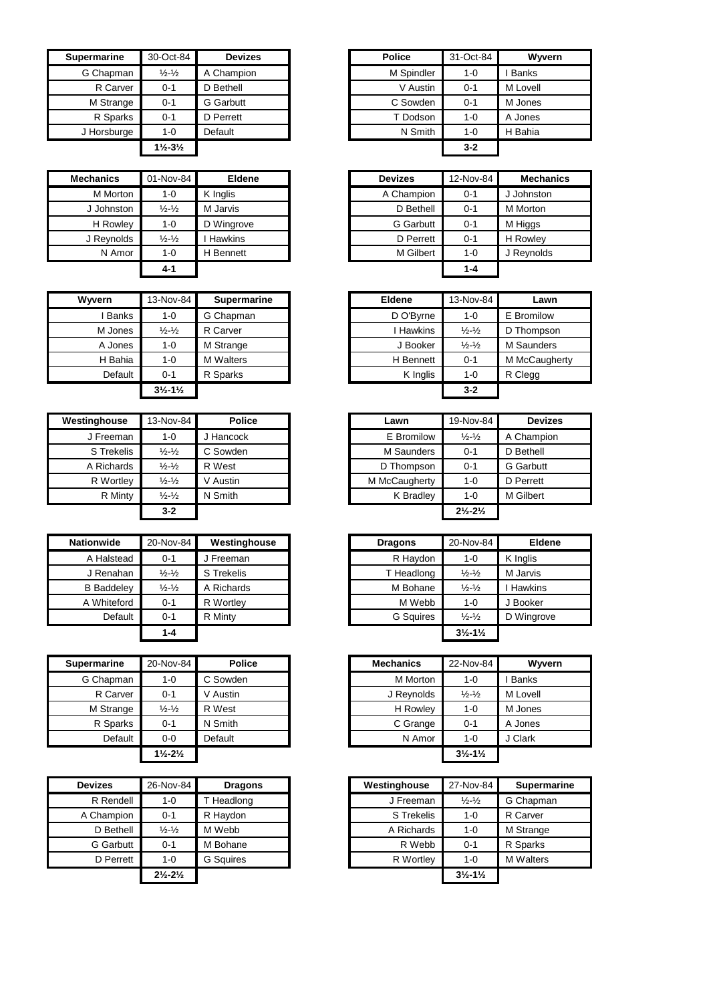| <b>Supermarine</b> | 30-Oct-84                     | <b>Devizes</b> | <b>Police</b> | 31-Oct-84 |          |
|--------------------|-------------------------------|----------------|---------------|-----------|----------|
| G Chapman          | $\frac{1}{2}$ - $\frac{1}{2}$ | A Champion     | M Spindler    | $1 - 0$   | I Banks  |
| R Carver           | 0-1                           | D Bethell      | V Austin      | $0 - 1$   | M Lovell |
| M Strange          | $0 - 1$                       | G Garbutt      | C Sowden      | $0 - 1$   | M Jones  |
| R Sparks           | $0 - 1$                       | D Perrett      | T Dodson      | $1 - 0$   | A Jones  |
| J Horsburge        | $1 - 0$                       | Default        | N Smith       | $1 - 0$   | H Bahia  |
|                    | $1\frac{1}{2} - 3\frac{1}{2}$ |                |               | $3 - 2$   |          |

| <b>Mechanics</b> | 01-Nov-84                   | Eldene         | <b>Devizes</b>   | 12-Nov-84 | <b>Mech</b> |
|------------------|-----------------------------|----------------|------------------|-----------|-------------|
| M Morton         | $1 - 0$                     | K Inglis       | A Champion       | $0 - 1$   | J Johnsto   |
| J Johnston       | $\frac{1}{2} - \frac{1}{2}$ | M Jarvis       | D Bethell        | $0 - 1$   | M Morton    |
| H Rowley         | $1 - 0$                     | D Wingrove     | <b>G</b> Garbutt | $0 - 1$   | M Higgs     |
| J Reynolds       | $\frac{1}{2} - \frac{1}{2}$ | <b>Hawkins</b> | D Perrett        | $0 - 1$   | H Rowley    |
| N Amor           | $1 - 0$                     | H Bennett      | M Gilbert        | $1 - 0$   | J Reynold   |
|                  | $4 - 1$                     |                |                  | $1 - 4$   |             |

| Wyvern  | 13-Nov-84                     | <b>Supermarine</b> |
|---------|-------------------------------|--------------------|
| I Banks | $1 - 0$                       | G Chapman          |
| M Jones | $\frac{1}{2}$ $\frac{1}{2}$   | R Carver           |
| A Jones | $1 - 0$                       | M Strange          |
| H Bahia | $1 - 0$                       | <b>M</b> Walters   |
| Default | $0 - 1$                       | R Sparks           |
|         | $3\frac{1}{2} - 1\frac{1}{2}$ |                    |

| Westinghouse | 13-Nov-84                     | <b>Police</b> | Lawn          | 19-Nov-84                     | <b>Devizes</b>   |
|--------------|-------------------------------|---------------|---------------|-------------------------------|------------------|
| J Freeman    | 1-0                           | J Hancock     | E Bromilow    | $\frac{1}{2} - \frac{1}{2}$   | A Champion       |
| S Trekelis   | $\frac{1}{2}$ - $\frac{1}{2}$ | C Sowden      | M Saunders    | $0 - 1$                       | D Bethell        |
| A Richards   | $\frac{1}{2}$ - $\frac{1}{2}$ | R West        | D Thompson    | $0 - 1$                       | <b>G</b> Garbutt |
| R Wortley    | $\frac{1}{2}$ - $\frac{1}{2}$ | V Austin      | M McCaugherty | $1 - 0$                       | D Perrett        |
| R Minty      | $\frac{1}{2}$ - $\frac{1}{2}$ | N Smith       | K Bradley     | $1 - 0$                       | M Gilbert        |
|              | $3 - 2$                       |               |               | $2\frac{1}{2} - 2\frac{1}{2}$ |                  |

| <b>Nationwide</b> | 20-Nov-84                     | Westinghouse | <b>Dragons</b>   | 20-Nov-84                     | <b>Eldene</b>  |
|-------------------|-------------------------------|--------------|------------------|-------------------------------|----------------|
| A Halstead        | $0 - 1$                       | J Freeman    | R Haydon         | $1 - 0$                       | K Inglis       |
| J Renahan         | $\frac{1}{2}$ - $\frac{1}{2}$ | S Trekelis   | T Headlong       | $\frac{1}{2} - \frac{1}{2}$   | M Jarvis       |
| <b>B</b> Baddeley | $\frac{1}{2} - \frac{1}{2}$   | A Richards   | M Bohane         | $\frac{1}{2} - \frac{1}{2}$   | <b>Hawkins</b> |
| A Whiteford       | $0 - 1$                       | R Wortley    | M Webb           | $1 - 0$                       | J Booker       |
| Default           | $0 - 1$                       | R Minty      | <b>G</b> Squires | $\frac{1}{2} - \frac{1}{2}$   | D Wingrove     |
|                   | 1-4                           |              |                  | $3\frac{1}{2} - 1\frac{1}{2}$ |                |

| <b>Supermarine</b> | 20-Nov-84                     | <b>Police</b> | <b>Mechanics</b> | 22-Nov-84                     | Wyvern   |
|--------------------|-------------------------------|---------------|------------------|-------------------------------|----------|
| G Chapman          | $1 - 0$                       | C Sowden      | M Morton         | 1-0                           | I Banks  |
| R Carver           | $0 - 1$                       | V Austin      | J Reynolds       | $\frac{1}{2}$ - $\frac{1}{2}$ | M Lovell |
| M Strange          | $\frac{1}{2}$ - $\frac{1}{2}$ | R West        | H Rowley         | $1 - 0$                       | M Jones  |
| R Sparks           | $0 - 1$                       | N Smith       | C Grange         | $0 - 1$                       | A Jones  |
| Default            | $0-0$                         | Default       | N Amor           | $1 - 0$                       | J Clark  |
|                    | $1\frac{1}{2} - 2\frac{1}{2}$ |               |                  | $3\frac{1}{2} - 1\frac{1}{2}$ |          |

| <b>Devizes</b> | 26-Nov-84                     | <b>Dragons</b>   | Westinghouse | 27-Nov-84                     | Super    |
|----------------|-------------------------------|------------------|--------------|-------------------------------|----------|
| R Rendell      | $1 - 0$                       | T Headlong       | J Freeman    | $\frac{1}{2} - \frac{1}{2}$   | G Chapm  |
| A Champion     | $0 - 1$                       | R Haydon         | S Trekelis   | $1 - 0$                       | R Carver |
| D Bethell      | $\frac{1}{2} - \frac{1}{2}$   | M Webb           | A Richards   | $1 - 0$                       | M Strang |
| G Garbutt      | $0 - 1$                       | M Bohane         | R Webb       | $0 - 1$                       | R Sparks |
| D Perrett      | $1 - 0$                       | <b>G</b> Squires | R Wortley    | $1 - 0$                       | M Walter |
|                | $2\frac{1}{2} - 2\frac{1}{2}$ |                  |              | $3\frac{1}{2} - 1\frac{1}{2}$ |          |

| $0$ -Oct-84                   | <b>Devizes</b>   | <b>Police</b> | 31-Oct-84 | Wyvern       |
|-------------------------------|------------------|---------------|-----------|--------------|
| $\frac{1}{2} - \frac{1}{2}$   | A Champion       | M Spindler    | $1 - 0$   | <b>Banks</b> |
| $0 - 1$                       | D Bethell        | V Austin      | $0 - 1$   | M Lovell     |
| $0 - 1$                       | <b>G</b> Garbutt | C Sowden      | $0 - 1$   | M Jones      |
| $0 - 1$                       | D Perrett        | T Dodson      | $1 - 0$   | A Jones      |
| $1 - 0$                       | Default          | N Smith       | $1 - 0$   | H Bahia      |
| $1\frac{1}{2} - 3\frac{1}{2}$ |                  |               | $3 - 2$   |              |

| Mechanics  | 01-Nov-84                     | <b>Eldene</b> | <b>Devizes</b>   | 12-Nov-84 | <b>Mechanics</b> |
|------------|-------------------------------|---------------|------------------|-----------|------------------|
| M Morton   | $1 - 0$                       | K Inglis      | A Champion       | $0 - 1$   | J Johnston       |
| J Johnston | $\frac{1}{2}$ - $\frac{1}{2}$ | M Jarvis      | D Bethell        | $0 - 1$   | M Morton         |
| H Rowley   | $1 - 0$                       | D Wingrove    | <b>G</b> Garbutt | $0 - 1$   | M Higgs          |
| J Reynolds | $\frac{1}{2} - \frac{1}{2}$   | Hawkins       | D Perrett        | $0 - 1$   | H Rowlev         |
| N Amor     | $1 - 0$                       | H Bennett     | M Gilbert        | $1 - 0$   | J Reynolds       |
|            | $4 - 1$                       |               |                  | $1 - 4$   |                  |

| Wvvern       | 13-Nov-84                     | <b>Supermarine</b> | <b>Eldene</b> | 13-Nov-84                   | Lawn          |
|--------------|-------------------------------|--------------------|---------------|-----------------------------|---------------|
| <b>Banks</b> | $1 - 0$                       | G Chapman          | D O'Byrne     | $1 - 0$                     | E Bromilow    |
| M Jones      | $\frac{1}{2} - \frac{1}{2}$   | R Carver           | Hawkins       | $\frac{1}{2} - \frac{1}{2}$ | D Thompson    |
| A Jones      | $1 - 0$                       | M Strange          | J Booker      | $\frac{1}{2} - \frac{1}{2}$ | M Saunders    |
| H Bahia      | 1-0                           | <b>M</b> Walters   | H Bennett     | $0 - 1$                     | M McCaugherty |
| Default      | $0 - 1$                       | R Sparks           | K Inglis      | $1 - 0$                     | R Clegg       |
|              | $3\frac{1}{2} - 1\frac{1}{2}$ |                    |               | $3 - 2$                     |               |

| nghouse    | 13-Nov-84                     | <b>Police</b> | Lawn          | 19-Nov-84                     | <b>Devizes</b>   |
|------------|-------------------------------|---------------|---------------|-------------------------------|------------------|
| J Freeman  | 1-0                           | Hancock       | E Bromilow    | $\frac{1}{2} - \frac{1}{2}$   | A Champion       |
| S Trekelis | $\frac{1}{2} - \frac{1}{2}$   | C Sowden      | M Saunders    | $0 - 1$                       | D Bethell        |
| A Richards | $\frac{1}{2}$ - $\frac{1}{2}$ | R West        | D Thompson    | $0 - 1$                       | <b>G</b> Garbutt |
| R Wortley  | $\frac{1}{2}$ - $\frac{1}{2}$ | V Austin      | M McCaugherty | $1 - 0$                       | D Perrett        |
| R Minty    | $\frac{1}{2}$ - $\frac{1}{2}$ | N Smith       | K Bradley     | 1-0                           | M Gilbert        |
|            | $3 - 2$                       |               |               | $2\frac{1}{2} - 2\frac{1}{2}$ |                  |

| vide     | 20-Nov-84                     | Westinghouse | <b>Dragons</b>   | 20-Nov-84                     | <b>Eldene</b>  |
|----------|-------------------------------|--------------|------------------|-------------------------------|----------------|
| alstead  | $0 - 1$                       | Freeman      | R Haydon         | $1 - 0$                       | K Inglis       |
| enahan   | $\frac{1}{2}$ - $\frac{1}{2}$ | S Trekelis   | T Headlong       | $\frac{1}{2} - \frac{1}{2}$   | M Jarvis       |
| addeley  | $\frac{1}{2}$ - $\frac{1}{2}$ | A Richards   | M Bohane         | $\frac{1}{2} - \frac{1}{2}$   | <b>Hawkins</b> |
| hiteford | $0 - 1$                       | R Wortley    | M Webb           | $1 - 0$                       | Booker         |
| Default  | $0 - 1$                       | R Minty      | <b>G</b> Sauires | $\frac{1}{2} - \frac{1}{2}$   | D Wingrove     |
|          | $1 - 4$                       |              |                  | $3\frac{1}{2} - 1\frac{1}{2}$ |                |
|          |                               |              |                  |                               |                |

| narine   | 20-Nov-84                     | <b>Police</b> | <b>Mechanics</b> | 22-Nov-84                     | Wwern        |
|----------|-------------------------------|---------------|------------------|-------------------------------|--------------|
| Chapman  | 1-0                           | C Sowden      | M Morton         | 1-0                           | <b>Banks</b> |
| R Carver | $0 - 1$                       | V Austin      | J Reynolds       | $\frac{1}{2} - \frac{1}{2}$   | M Lovell     |
| Strange  | $\frac{1}{2} - \frac{1}{2}$   | R West        | H Rowley         | $1 - 0$                       | M Jones      |
| R Sparks | $0 - 1$                       | N Smith       | C Grange         | $0 - 1$                       | A Jones      |
| Default  | $0 - 0$                       | Default       | N Amor           | $1 - 0$                       | J Clark      |
|          | $1\frac{1}{2} - 2\frac{1}{2}$ |               |                  | $3\frac{1}{2} - 1\frac{1}{2}$ |              |
|          |                               |               |                  |                               |              |

| <b>Devizes</b>   | 26-Nov-84                     | <b>Dragons</b>   | Westinghouse | 27-Nov-84                     | <b>Supermarine</b> |
|------------------|-------------------------------|------------------|--------------|-------------------------------|--------------------|
| R Rendell        | $1 - 0$                       | Headlong         | J Freeman    | $\frac{1}{2} - \frac{1}{2}$   | G Chapman          |
| A Champion       | $0 - 1$                       | R Havdon         | S Trekelis   | $1 - 0$                       | R Carver           |
| D Bethell        | $\frac{1}{2} - \frac{1}{2}$   | M Webb           | A Richards   | $1 - 0$                       | M Strange          |
| <b>G</b> Garbutt | $0 - 1$                       | M Bohane         | R Webb       | $0 - 1$                       | R Sparks           |
| D Perrett        | $1 - 0$                       | <b>G</b> Sauires | R Wortley    | $1 - 0$                       | <b>M</b> Walters   |
|                  | $2\frac{1}{2} - 2\frac{1}{2}$ |                  |              | $3\frac{1}{2} - 1\frac{1}{2}$ |                    |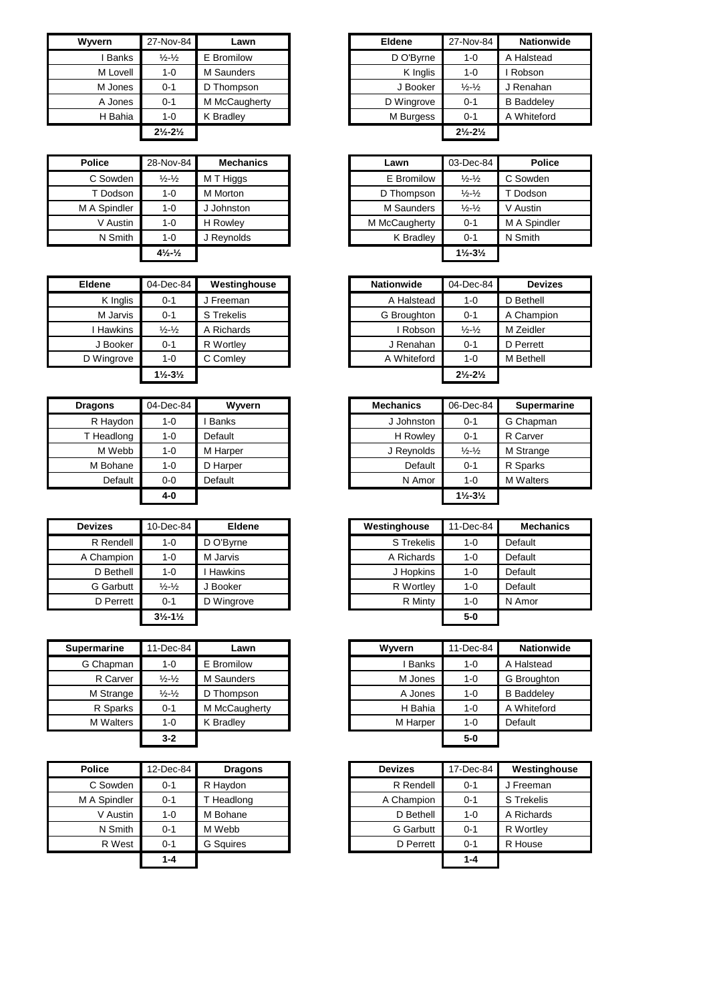| Wyvern   | 27-Nov-84                     | Lawn             |
|----------|-------------------------------|------------------|
| I Banks  | $\frac{1}{2}$ $\frac{1}{2}$   | E Bromilow       |
| M Lovell | $1 - 0$                       | M Saunders       |
| M Jones  | $0 - 1$                       | D Thompson       |
| A Jones  | $0 - 1$                       | M McCaugherty    |
| H Bahia  | $1 - 0$                       | <b>K</b> Bradley |
|          | $2\frac{1}{2} - 2\frac{1}{2}$ |                  |

| <b>Police</b> | 28-Nov-84                      | <b>Mechanics</b> | Lawn          | 03-Dec-84                     |        |
|---------------|--------------------------------|------------------|---------------|-------------------------------|--------|
| C Sowden      | $\frac{1}{2}$ - $\frac{1}{2}$  | M T Higgs        | E Bromilow    | $\frac{1}{2} - \frac{1}{2}$   | C Sowd |
| T Dodson      | $1 - 0$                        | M Morton         | D Thompson    | $\frac{1}{2} - \frac{1}{2}$   |        |
| M A Spindler  | $1 - 0$                        | J Johnston       | M Saunders    | $\frac{1}{2} - \frac{1}{2}$   |        |
| V Austin      | $1 - 0$                        | H Rowlev         | M McCaugherty | $0 - 1$                       |        |
| N Smith       | $1 - 0$                        | J Reynolds       | K Bradley     | $0 - 1$                       |        |
|               | $4\frac{1}{2}$ - $\frac{1}{2}$ |                  |               | $1\frac{1}{2} - 3\frac{1}{2}$ |        |

| <b>Eldene</b> | 04-Dec-84                     | Westinghouse | <b>Nationwide</b> | 04-Dec-84                     |           |
|---------------|-------------------------------|--------------|-------------------|-------------------------------|-----------|
| K Inglis      | $0 - 1$                       | J Freeman    | A Halstead        | $1 - 0$                       | D Bethell |
| M Jarvis      | $0 - 1$                       | S Trekelis   | G Broughton       | $0 - 1$                       | A Champ   |
| Hawkins       | $\frac{1}{2} - \frac{1}{2}$   | A Richards   | i Robson          | $\frac{1}{2} - \frac{1}{2}$   | M Zeidler |
| J Booker      | $0 - 1$                       | R Wortley    | J Renahan         | $0 - 1$                       | D Perrett |
| D Wingrove    | $1 - 0$                       | C Comley     | A Whiteford       | $1 - 0$                       | M Bethell |
|               | $1\frac{1}{2} - 3\frac{1}{2}$ |              |                   | $2\frac{1}{2} - 2\frac{1}{2}$ |           |

| <b>Dragons</b> | 04-Dec-84 | Wyvern       | <b>Mechanics</b> | 06-Dec-84                     |
|----------------|-----------|--------------|------------------|-------------------------------|
| R Haydon       | $1 - 0$   | <b>Banks</b> | J Johnston       | $0 - 1$                       |
| T Headlong     | 1-0       | Default      | H Rowley         | $0 - 1$                       |
| M Webb         | $1 - 0$   | M Harper     | J Reynolds       | $\frac{1}{2} - \frac{1}{2}$   |
| M Bohane       | $1 - 0$   | D Harper     | Default          | $0 - 1$                       |
| Default        | $0 - 0$   | Default      | N Amor           | $1 - 0$                       |
|                | $4-0$     |              |                  | $1\frac{1}{2} - 3\frac{1}{2}$ |

| <b>Devizes</b>   | 10-Dec-84                     | <b>Eldene</b>  | Westinghouse | 11-Dec-84 | Me      |
|------------------|-------------------------------|----------------|--------------|-----------|---------|
| R Rendell        | $1 - 0$                       | D O'Byrne      | S Trekelis   | $1 - 0$   | Default |
| A Champion       | $1 - 0$                       | M Jarvis       | A Richards   | 1-0       | Default |
| D Bethell        | $1 - 0$                       | <b>Hawkins</b> | J Hopkins    | 1-0       | Default |
| <b>G</b> Garbutt | $\frac{1}{2} - \frac{1}{2}$   | J Booker       | R Wortley    | $1 - 0$   | Default |
| D Perrett        | $0 - 1$                       | D Wingrove     | R Minty      | 1-0       | N Amo   |
|                  | $3\frac{1}{2} - 1\frac{1}{2}$ |                |              | $5-0$     |         |

| <b>Supermarine</b> | 11-Dec-84                   | Lawn          | Wyvern       | 11-Dec-84 |
|--------------------|-----------------------------|---------------|--------------|-----------|
| G Chapman          | $1 - 0$                     | E Bromilow    | <b>Banks</b> | $1 - 0$   |
| R Carver           | $\frac{1}{2} - \frac{1}{2}$ | M Saunders    | M Jones      | $1 - 0$   |
| M Strange          | $\frac{1}{2} - \frac{1}{2}$ | D Thompson    | A Jones      | $1 - 0$   |
| R Sparks           | $0 - 1$                     | M McCaugherty | H Bahia      | $1 - 0$   |
| <b>M</b> Walters   | $1 - 0$                     | K Bradley     | M Harper     | $1 - 0$   |
|                    | $3 - 2$                     |               |              | $5-0$     |

| <b>Police</b> | 12-Dec-84 | <b>Dragons</b>   | <b>Devizes</b>   | 17-Dec-84 | Westing    |
|---------------|-----------|------------------|------------------|-----------|------------|
| C Sowden      | $0 - 1$   | R Haydon         | R Rendell        | $0 - 1$   | J Freemar  |
| M A Spindler  | $0 - 1$   | Headlong         | A Champion       | $0 - 1$   | S Trekelis |
| V Austin      | $1 - 0$   | M Bohane         | D Bethell        | $1 - 0$   | A Richard  |
| N Smith       | $0 - 1$   | M Webb           | <b>G</b> Garbutt | $0 - 1$   | R Wortley  |
| R West        | $0 - 1$   | <b>G</b> Sauires | D Perrett        | $0 - 1$   | R House    |
|               | $1 - 4$   |                  |                  | $1 - 4$   |            |
|               |           |                  |                  |           |            |

| Wyvern       | 27-Nov-84                     | Lawn             | <b>Eldene</b> | 27-Nov-84                     | <b>Nationwide</b> |
|--------------|-------------------------------|------------------|---------------|-------------------------------|-------------------|
| <b>Banks</b> | $\frac{1}{2} - \frac{1}{2}$   | E Bromilow       | D O'Byrne     | $1 - 0$                       | A Halstead        |
| M Lovell     | $1 - 0$                       | M Saunders       | K Inglis      | $1 - 0$                       | Robson            |
| M Jones      | $0 - 1$                       | D Thompson       | J Booker      | $\frac{1}{2} - \frac{1}{2}$   | J Renahan         |
| A Jones      | $0 - 1$                       | M McCaugherty    | D Wingrove    | $0 - 1$                       | <b>B</b> Baddelev |
| H Bahia      | $1 - 0$                       | <b>K</b> Bradlev | M Burgess     | $0 - 1$                       | A Whiteford       |
|              | $2\frac{1}{2} - 2\frac{1}{2}$ |                  |               | $2\frac{1}{2} - 2\frac{1}{2}$ |                   |

| Police       | 28-Nov-84                    | <b>Mechanics</b> | Lawn          | 03-Dec-84                     | <b>Police</b> |
|--------------|------------------------------|------------------|---------------|-------------------------------|---------------|
| C Sowden     | $\frac{1}{2} - \frac{1}{2}$  | M T Higgs        | E Bromilow    | $\frac{1}{2} - \frac{1}{2}$   | C Sowden      |
| T Dodson     | 1-0                          | M Morton         | D Thompson    | $\frac{1}{2} - \frac{1}{2}$   | T Dodson      |
| M A Spindler | $1 - 0$                      | Johnston         | M Saunders    | $\frac{1}{2} - \frac{1}{2}$   | V Austin      |
| V Austin     | $1 - 0$                      | H Rowlev         | M McCaugherty | $0 - 1$                       | M A Spindler  |
| N Smith      | $1 - 0$                      | J Reynolds       | K Bradley     | $0 - 1$                       | N Smith       |
|              | $4\frac{1}{2}$ $\frac{1}{2}$ |                  |               | $1\frac{1}{2} - 3\frac{1}{2}$ |               |

| <b>Eldene</b> | 04-Dec-84                     | Westinghouse | <b>Nationwide</b> | 04-Dec-84                     | <b>Devizes</b> |
|---------------|-------------------------------|--------------|-------------------|-------------------------------|----------------|
| K Inglis      | $0 - 1$                       | l Freeman    | A Halstead        | $1 - 0$                       | D Bethell      |
| M Jarvis      | $0 - 1$                       | S Trekelis   | G Broughton       | $0 - 1$                       | A Champion     |
| Hawkins       | $\frac{1}{2} - \frac{1}{2}$   | A Richards   | Robson            | $\frac{1}{2} - \frac{1}{2}$   | M Zeidler      |
| J Booker      | $0 - 1$                       | R Wortley    | J Renahan         | $0 - 1$                       | D Perrett      |
| D Wingrove    | $1 - 0$                       | C Comley     | A Whiteford       | $1 - 0$                       | M Bethell      |
|               | $1\frac{1}{2} - 3\frac{1}{2}$ |              |                   | $2\frac{1}{2} - 2\frac{1}{2}$ |                |

| <b>Dragons</b> | 04-Dec-84 | Wyvern       |
|----------------|-----------|--------------|
| R Haydon       | 1-0       | <b>Banks</b> |
| T Headlong     | $1 - 0$   | Default      |
| M Webb         | $1 - 0$   | M Harper     |
| M Bohane       | $1 - 0$   | D Harper     |
| Default        | $0 - 0$   | Default      |
|                | 4-0       |              |

| <b>Devizes</b>   | 10-Dec-84                     | Eldene         | Westinghouse | 11-Dec-84 | <b>Mechanics</b> |
|------------------|-------------------------------|----------------|--------------|-----------|------------------|
| R Rendell        | $1 - 0$                       | D O'Byrne      | S Trekelis   | 1-0       | Default          |
| A Champion       | 1-0                           | M Jarvis       | A Richards   | 1-0       | Default          |
| D Bethell        | 1-0                           | <b>Hawkins</b> | J Hopkins    | $1 - 0$   | Default          |
| <b>G</b> Garbutt | $\frac{1}{2} - \frac{1}{2}$   | J Booker       | R Wortley    | $1 - 0$   | Default          |
| D Perrett        | $0 - 1$                       | D Wingrove     | R Minty      | $1 - 0$   | N Amor           |
|                  | $3\frac{1}{2} - 1\frac{1}{2}$ |                |              | $5-0$     |                  |

| <b>Supermarine</b> | 11-Dec-84                   | Lawn             |
|--------------------|-----------------------------|------------------|
| G Chapman          | $1 - 0$                     | E Bromilow       |
| R Carver           | $\frac{1}{2} - \frac{1}{2}$ | M Saunders       |
| M Strange          | $\frac{1}{2} - \frac{1}{2}$ | D Thompson       |
| R Sparks           | $0 - 1$                     | M McCaugherty    |
| <b>M</b> Walters   | $1 - 0$                     | <b>K</b> Bradlev |
|                    | $3 - 2$                     |                  |

| Police       | 12-Dec-84 | <b>Dragons</b>   | <b>Devizes</b>   | 17-Dec-84 | Westinghouse |
|--------------|-----------|------------------|------------------|-----------|--------------|
| C Sowden     | $0 - 1$   | R Haydon         | R Rendell        | $0 - 1$   | J Freeman    |
| M A Spindler | $0 - 1$   | Headlong         | A Champion       | $0 - 1$   | S Trekelis   |
| V Austin     | $1 - 0$   | M Bohane         | D Bethell        | $1 - 0$   | A Richards   |
| N Smith      | $0 - 1$   | M Webb           | <b>G</b> Garbutt | $0 - 1$   | R Wortley    |
| R West       | $0 - 1$   | <b>G</b> Sauires | D Perrett        | $0 - 1$   | R House      |
|              | $1 - 4$   |                  |                  | $1 - 4$   |              |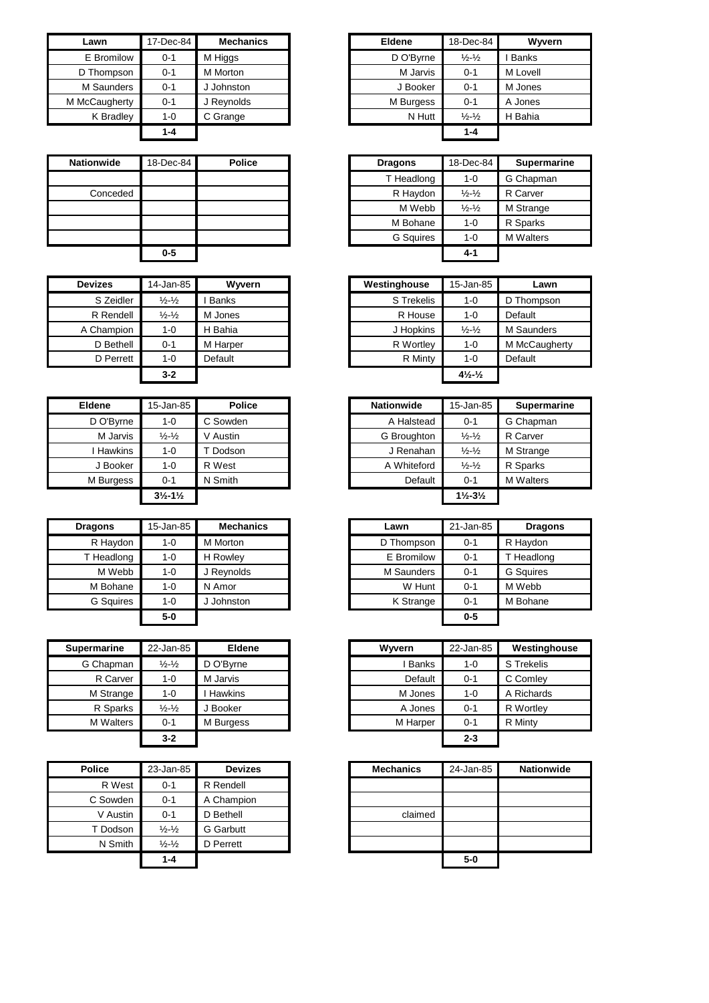| Lawn          | 17-Dec-84 | <b>Mechanics</b> | Eldene    | 18-Dec-84                   |              |
|---------------|-----------|------------------|-----------|-----------------------------|--------------|
| E Bromilow    | $0 - 1$   | M Higgs          | D O'Byrne | $\frac{1}{2} - \frac{1}{2}$ | <b>Banks</b> |
| D Thompson    | $0 - 1$   | M Morton         | M Jarvis  | $0 - 1$                     | M Lovell     |
| M Saunders    | $0 - 1$   | J Johnston       | J Booker  | $0 - 1$                     | M Jones      |
| M McCaugherty | $0 - 1$   | J Reynolds       | M Burgess | $0 - 1$                     | A Jones      |
| K Bradley     | $1 - 0$   | C Grange         | N Hutt    | $\frac{1}{2} - \frac{1}{2}$ | H Bahia      |
|               | $1 - 4$   |                  |           | $1 - 4$                     |              |

| <b>Nationwide</b> | 18-Dec-84 | <b>Police</b> | <b>Dragons</b>   | 18-Dec-84                   |
|-------------------|-----------|---------------|------------------|-----------------------------|
|                   |           |               | T Headlong       | $1 - 0$                     |
| Conceded          |           |               | R Haydon         | $\frac{1}{2} - \frac{1}{2}$ |
|                   |           |               | M Webb           | $\frac{1}{2} - \frac{1}{2}$ |
|                   |           |               | M Bohane         | $1 - 0$                     |
|                   |           |               | <b>G</b> Squires | $1 - 0$                     |
|                   | $0-5$     |               |                  | $4 - 1$                     |

| <b>Devizes</b> | 14-Jan-85                   | Wyvern   | Westinghouse | 15-Jan-85                      |
|----------------|-----------------------------|----------|--------------|--------------------------------|
| S Zeidler      | $\frac{1}{2} - \frac{1}{2}$ | Banks    | S Trekelis   | $1 - 0$                        |
| R Rendell      | $\frac{1}{2} - \frac{1}{2}$ | M Jones  | R House      | $1 - 0$                        |
| A Champion     | $1 - 0$                     | H Bahia  | J Hopkins    | $\frac{1}{2} - \frac{1}{2}$    |
| D Bethell      | $0 - 1$                     | M Harper | R Wortley    | $1 - 0$                        |
| D Perrett      | $1 - 0$                     | Default  | R Minty      | $1 - 0$                        |
|                | $3 - 2$                     |          |              | $4\frac{1}{2}$ - $\frac{1}{2}$ |

| <b>Eldene</b> | 15-Jan-85                     | <b>Police</b> |
|---------------|-------------------------------|---------------|
| D O'Byrne     | $1 - 0$                       | C Sowden      |
| M Jarvis      | $\frac{1}{2}$ - $\frac{1}{2}$ | V Austin      |
| I Hawkins     | $1 - 0$                       | T Dodson      |
| J Booker      | $1 - 0$                       | R West        |
| M Burgess     | $0 - 1$                       | N Smith       |
|               | $3\frac{1}{2} - 1\frac{1}{2}$ |               |

| <b>Dragons</b>   | 15-Jan-85 | <b>Mechanics</b> | Lawn       | 21-Jan-85 | Dra      |
|------------------|-----------|------------------|------------|-----------|----------|
| R Haydon         | $1 - 0$   | M Morton         | D Thompson | $0 - 1$   | R Haydo  |
| T Headlong       | $1 - 0$   | H Rowley         | E Bromilow | $0 - 1$   | T Headle |
| M Webb           | $1 - 0$   | J Reynolds       | M Saunders | $0 - 1$   | G Squire |
| M Bohane         | $1 - 0$   | N Amor           | W Hunt     | $0 - 1$   | M Webb   |
| <b>G</b> Squires | $1 - 0$   | Johnston         | K Strange  | $0 - 1$   | M Bohar  |
|                  | $5-0$     |                  |            | $0 - 5$   |          |

| <b>Supermarine</b> | 22-Jan-85                   | <b>Eldene</b>  | Wyvern       | 22-Jan-85 | Westing    |
|--------------------|-----------------------------|----------------|--------------|-----------|------------|
| G Chapman          | $\frac{1}{2} - \frac{1}{2}$ | D O'Byrne      | <b>Banks</b> | $1 - 0$   | S Trekelis |
| R Carver           | $1 - 0$                     | M Jarvis       | Default      | $0 - 1$   | C Comley   |
| M Strange          | $1 - 0$                     | <b>Hawkins</b> | M Jones      | $1 - 0$   | A Richard  |
| R Sparks           | $\frac{1}{2} - \frac{1}{2}$ | Booker         | A Jones      | $0 - 1$   | R Wortley  |
| <b>M</b> Walters   | $0 - 1$                     | M Burgess      | M Harper     | $0 - 1$   | R Minty    |
|                    | $3 - 2$                     |                |              | $2 - 3$   |            |

| <b>Police</b> | 23-Jan-85                   | <b>Devizes</b>   |
|---------------|-----------------------------|------------------|
| R West        | $0 - 1$                     | R Rendell        |
| C Sowden      | 0-1                         | A Champion       |
| V Austin      | $0 - 1$                     | D Bethell        |
| T Dodson      | $\frac{1}{2} - \frac{1}{2}$ | <b>G</b> Garbutt |
| N Smith       | $\frac{1}{2} - \frac{1}{2}$ | D Perrett        |
|               | $1 - 4$                     |                  |

| Lawn               | 17-Dec-84 | <b>Mechanics</b> |
|--------------------|-----------|------------------|
| E Bromilow         | $0 - 1$   | M Higgs          |
| ) Thompson         | $0 - 1$   | <b>M</b> Morton  |
| M Saunders         | $0 - 1$   | Johnston         |
| <b>IcCaugherty</b> | $0 - 1$   | Reynolds         |
| K Bradley          | 1-0       | C Grange         |
|                    | $1 - 4$   |                  |

| Nationwide | 18-Dec-84 | <b>Police</b> | <b>Dragons</b>   | 18-Dec-84                   | <b>Supermarine</b> |
|------------|-----------|---------------|------------------|-----------------------------|--------------------|
|            |           |               | T Headlong       | $1 - 0$                     | G Chapman          |
| Conceded   |           |               | R Haydon         | $\frac{1}{2} - \frac{1}{2}$ | R Carver           |
|            |           |               | M Webb           | $\frac{1}{2} - \frac{1}{2}$ | M Strange          |
|            |           |               | M Bohane         | $1 - 0$                     | R Sparks           |
|            |           |               | <b>G</b> Squires | $1 - 0$                     | <b>M</b> Walters   |
|            | $0-5$     |               |                  | 4-1                         |                    |

| <b>Devizes</b> | 14-Jan-85                   | Wyvern       | Westinghouse | 15-Jan-85                    | Lawn          |
|----------------|-----------------------------|--------------|--------------|------------------------------|---------------|
| S Zeidler      | $\frac{1}{2} - \frac{1}{2}$ | <b>Banks</b> | S Trekelis   | $1 - 0$                      | D Thompson    |
| R Rendell      | $\frac{1}{2} - \frac{1}{2}$ | M Jones      | R House      | 1-0                          | Default       |
| A Champion     | $1 - 0$                     | H Bahia      | J Hopkins    | $\frac{1}{2} - \frac{1}{2}$  | M Saunders    |
| D Bethell      | $0 - 1$                     | M Harper     | R Wortley    | $1 - 0$                      | M McCaugherty |
| D Perrett      | $1 - 0$                     | Default      | R Minty      | $1 - 0$                      | Default       |
|                | $3 - 2$                     |              |              | $4\frac{1}{2}$ $\frac{1}{2}$ |               |

| Eldene         | 15-Jan-85                     | <b>Police</b> |
|----------------|-------------------------------|---------------|
| D O'Byrne      | 1-0                           | C Sowden      |
| M Jarvis       | $\frac{1}{2} - \frac{1}{2}$   | V Austin      |
| <b>Hawkins</b> | 1-0                           | Dodson        |
| J Booker       | 1-0                           | R West        |
| M Burgess      | $0 - 1$                       | N Smith       |
|                | $3\frac{1}{2} - 1\frac{1}{2}$ |               |

| <b>Dragons</b>   | 15-Jan-85 | <b>Mechanics</b> | Lawn       | 21-Jan-85 | <b>Dragons</b>   |
|------------------|-----------|------------------|------------|-----------|------------------|
| R Haydon         | 1-0       | M Morton         | D Thompson | $0 - 1$   | R Haydon         |
| T Headlong       | $1 - 0$   | H Rowley         | E Bromilow | $0 - 1$   | T Headlong       |
| M Webb           | $1 - 0$   | J Reynolds       | M Saunders | $0 - 1$   | <b>G</b> Squires |
| M Bohane         | $1 - 0$   | N Amor           | W Hunt     | $0 - 1$   | M Webb           |
| <b>G</b> Sauires | $1 - 0$   | J Johnston       | K Strange  | $0 - 1$   | M Bohane         |
|                  | $5-0$     |                  |            | $0 - 5$   |                  |

| <b>Supermarine</b> | 22-Jan-85                   | Eldene    |
|--------------------|-----------------------------|-----------|
| G Chapman          | $\frac{1}{2} - \frac{1}{2}$ | D O'Byrne |
| R Carver           | $1 - 0$                     | M Jarvis  |
| M Strange          | $1 - 0$                     | Hawkins   |
| R Sparks           | $\frac{1}{2} - \frac{1}{2}$ | Booker    |
| <b>M</b> Walters   | $0 - 1$                     | M Burgess |
|                    | $3 - 2$                     |           |

| Police   | 23-Jan-85                   | <b>Devizes</b> |
|----------|-----------------------------|----------------|
| R West   | $0 - 1$                     | R Rendell      |
| C Sowden | $0 - 1$                     | A Champion     |
| V Austin | $0 - 1$                     | D Bethell      |
| T Dodson | $\frac{1}{2} - \frac{1}{2}$ | G Garbutt      |
| N Smith  | $\frac{1}{2} - \frac{1}{2}$ | D Perrett      |
|          | $1 - 4$                     |                |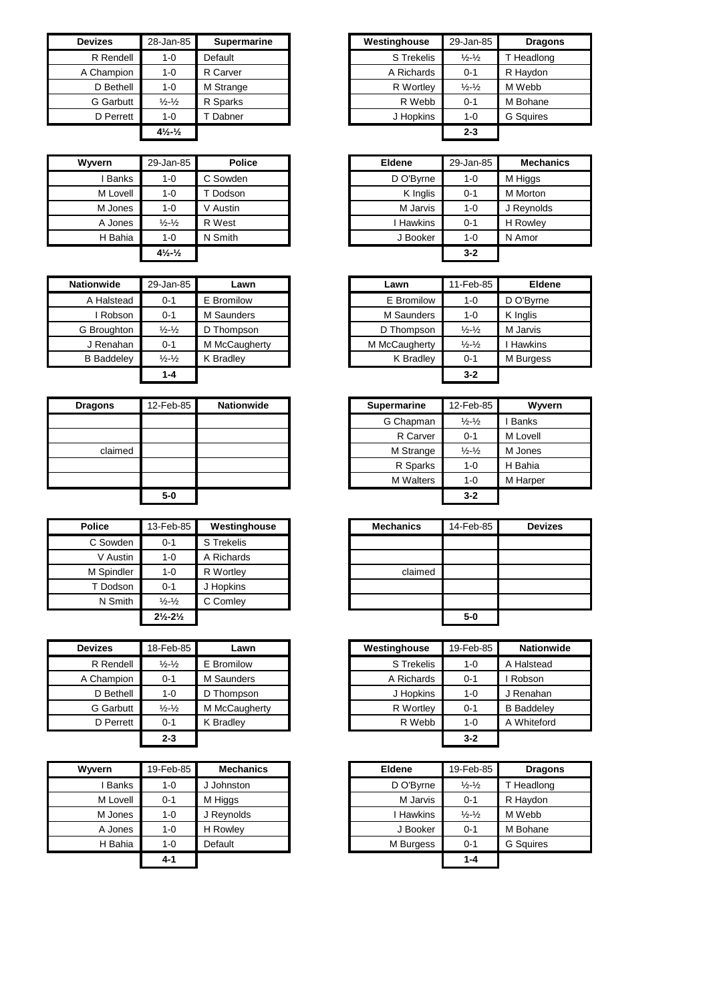| <b>Devizes</b> | 28-Jan-85                                   | <b>Supermarine</b> | Westinghouse | 29-Jan-85                   | Drag             |
|----------------|---------------------------------------------|--------------------|--------------|-----------------------------|------------------|
| R Rendell      | $1 - 0$                                     | Default            | S Trekelis   | $\frac{1}{2} - \frac{1}{2}$ | <b>T</b> Headlor |
| A Champion     | $1 - 0$                                     | R Carver           | A Richards   | $0 - 1$                     | R Haydon         |
| D Bethell      | $1 - 0$                                     | M Strange          | R Wortley    | $\frac{1}{2} - \frac{1}{2}$ | M Webb           |
| G Garbutt      | $\frac{1}{2} - \frac{1}{2}$                 | R Sparks           | R Webb       | $0 - 1$                     | M Bohane         |
| D Perrett      | $1 - 0$                                     | Dabner             | J Hopkins    | $1 - 0$                     | <b>G</b> Squires |
|                | $4\frac{1}{2}$ <sup>-1</sup> / <sub>2</sub> |                    |              | $2 - 3$                     |                  |

| Wyvern   | 29-Jan-85                                   | <b>Police</b> |
|----------|---------------------------------------------|---------------|
| I Banks  | $1 - 0$                                     | C Sowden      |
| M Lovell | $1 - 0$                                     | T Dodson      |
| M Jones  | $1 - 0$                                     | V Austin      |
| A Jones  | $\frac{1}{2}$ - $\frac{1}{2}$               | R West        |
| H Bahia  | $1 - 0$                                     | N Smith       |
|          | $4\frac{1}{2}$ <sup>-1</sup> / <sub>2</sub> |               |

| <b>Nationwide</b> | 29-Jan-85                     | Lawn          | Lawn          | 11-Feb-85                   | Eldene         |
|-------------------|-------------------------------|---------------|---------------|-----------------------------|----------------|
| A Halstead        | $0 - 1$                       | E Bromilow    | E Bromilow    | $1 - 0$                     | D O'Bvrne      |
| Robson            | $0 - 1$                       | M Saunders    | M Saunders    | $1 - 0$                     | K Inglis       |
| G Broughton       | $\frac{1}{2}$ - $\frac{1}{2}$ | D Thompson    | D Thompson    | $\frac{1}{2} - \frac{1}{2}$ | M Jarvis       |
| J Renahan         | $0 - 1$                       | M McCaugherty | M McCaugherty | $\frac{1}{2} - \frac{1}{2}$ | <b>Hawkins</b> |
| <b>B</b> Baddeley | $\frac{1}{2} - \frac{1}{2}$   | K Bradlev     | K Bradley     | $0 - 1$                     | M Burgess      |
|                   | $1 - 4$                       |               |               | $3 - 2$                     |                |

| <b>Dragons</b> | 12-Feb-85 | <b>Nationwide</b> |
|----------------|-----------|-------------------|
|                |           |                   |
|                |           |                   |
| claimed        |           |                   |
|                |           |                   |
|                |           |                   |
|                | $5-0$     |                   |

| <b>Police</b> | 13-Feb-85                     | Westinghouse | <b>Mechanics</b> | 14-Feb |
|---------------|-------------------------------|--------------|------------------|--------|
| C Sowden      | $0 - 1$                       | S Trekelis   |                  |        |
| V Austin      | $1 - 0$                       | A Richards   |                  |        |
| M Spindler    | $1 - 0$                       | R Wortley    | claimed          |        |
| T Dodson      | $0 - 1$                       | J Hopkins    |                  |        |
| N Smith       | $\frac{1}{2} - \frac{1}{2}$   | C Comley     |                  |        |
|               | $2\frac{1}{2} - 2\frac{1}{2}$ |              |                  | $5-0$  |

| <b>Devizes</b>   | 18-Feb-85                   | Lawn             | Westinghouse | 19-Feb-85 |
|------------------|-----------------------------|------------------|--------------|-----------|
| R Rendell        | $\frac{1}{2} - \frac{1}{2}$ | E Bromilow       | S Trekelis   | $1 - 0$   |
| A Champion       | $0 - 1$                     | M Saunders       | A Richards   | $0 - 1$   |
| D Bethell        | 1-0                         | D Thompson       | J Hopkins    | $1 - 0$   |
| <b>G</b> Garbutt | $\frac{1}{2} - \frac{1}{2}$ | M McCaugherty    | R Wortley    | $0 - 1$   |
| D Perrett        | $0 - 1$                     | <b>K</b> Bradlev | R Webb       | $1 - 0$   |
|                  | $2 - 3$                     |                  |              | $3 - 2$   |

| Wyvern   | 19-Feb-85 | <b>Mechanics</b> |
|----------|-----------|------------------|
| I Banks  | $1 - 0$   | J Johnston       |
| M Lovell | $0 - 1$   | M Higgs          |
| M Jones  | $1 - 0$   | J Reynolds       |
| A Jones  | $1 - 0$   | <b>H</b> Rowley  |
| H Bahia  | $1 - 0$   | Default          |
|          | 4-1       |                  |

| <b>Devizes</b>   | 28-Jan-85                      | <b>Supermarine</b> | Westinghouse | 29-Jan-85                   | <b>Dragons</b>   |
|------------------|--------------------------------|--------------------|--------------|-----------------------------|------------------|
| R Rendell        | 1-0                            | Default            | S Trekelis   | $\frac{1}{2} - \frac{1}{2}$ | T Headlong       |
| A Champion       | 1-0                            | R Carver           | A Richards   | $0 - 1$                     | R Haydon         |
| D Bethell        | 1-0                            | M Strange          | R Wortley    | $\frac{1}{2} - \frac{1}{2}$ | M Webb           |
| <b>G</b> Garbutt | $\frac{1}{2} - \frac{1}{2}$    | R Sparks           | R Webb       | $0 - 1$                     | M Bohane         |
| D Perrett        | 1-0                            | Dabner             | J Hopkins    | $1 - 0$                     | <b>G</b> Squires |
|                  | $4\frac{1}{2}$ - $\frac{1}{2}$ |                    |              | $2 - 3$                     |                  |

| Wvvern       | 29-Jan-85                                   | <b>Police</b> | <b>Eldene</b> | 29-Jan-85 | <b>Mechanics</b> |
|--------------|---------------------------------------------|---------------|---------------|-----------|------------------|
| <b>Banks</b> | $1 - 0$                                     | C Sowden      | D O'Byrne     | $1 - 0$   | M Higgs          |
| M Lovell     | $1 - 0$                                     | Dodson        | K Inglis      | $0 - 1$   | M Morton         |
| M Jones      | $1 - 0$                                     | V Austin      | M Jarvis      | $1 - 0$   | J Reynolds       |
| A Jones      | $\frac{1}{2} - \frac{1}{2}$                 | R West        | Hawkins       | $0 - 1$   | H Rowley         |
| H Bahia      | $1 - 0$                                     | N Smith       | J Booker      | $1 - 0$   | N Amor           |
|              | $4\frac{1}{2}$ <sup>-1</sup> / <sub>2</sub> |               |               | $3 - 2$   |                  |

| Jan-85                      | Lawn          | Lawn          | 11-Feb-85                     | <b>Eldene</b> |
|-----------------------------|---------------|---------------|-------------------------------|---------------|
| $0 - 1$                     | E Bromilow    | E Bromilow    | $1 - 0$                       | D O'Byrne     |
| $0 - 1$                     | M Saunders    | M Saunders    | $1 - 0$                       | K Inglis      |
| $\frac{1}{2}$ $\frac{1}{2}$ | D Thompson    | D Thompson    | $\frac{1}{2}$ - $\frac{1}{2}$ | M Jarvis      |
| $0 - 1$                     | M McCaugherty | M McCaugherty | $\frac{1}{2}$ - $\frac{1}{2}$ | I Hawkins     |
| $\frac{1}{2}$ $\frac{1}{2}$ | K Bradley     | K Bradley     | $0 - 1$                       | M Burgess     |
| $1 - 4$                     |               |               | $3 - 2$                       |               |

| <b>Dragons</b> | 12-Feb-85 | <b>Nationwide</b> |
|----------------|-----------|-------------------|
|                |           |                   |
|                |           |                   |
| claimed        |           |                   |
|                |           |                   |
|                |           |                   |
|                | $5-0$     |                   |

| Police     | 13-Feb-85                     | Westinghouse |
|------------|-------------------------------|--------------|
| C Sowden   | $0 - 1$                       | S Trekelis   |
| V Austin   | $1 - 0$                       | A Richards   |
| M Spindler | $1 - 0$                       | R Wortley    |
| T Dodson   | $0 - 1$                       | J Hopkins    |
| N Smith    | $\frac{1}{2} - \frac{1}{2}$   | C Comley     |
|            | $2\frac{1}{2} - 2\frac{1}{2}$ |              |

| <b>Devizes</b>   | 18-Feb-85                     | Lawn          |
|------------------|-------------------------------|---------------|
| R Rendell        | $\frac{1}{2}$ - $\frac{1}{2}$ | E Bromilow    |
| A Champion       | $0 - 1$                       | M Saunders    |
| D Bethell        | $1 - 0$                       | D Thompson    |
| <b>G</b> Garbutt | $\frac{1}{2} - \frac{1}{2}$   | M McCaugherty |
| D Perrett        | $0 - 1$                       | K Bradley     |
|                  | $2 - 3$                       |               |

| Wvvern       | 19-Feb-85 | <b>Mechanics</b> | <b>Eldene</b>  | 19-Feb-85                   | <b>Dragons</b>   |
|--------------|-----------|------------------|----------------|-----------------------------|------------------|
| <b>Banks</b> | $1 - 0$   | J Johnston       | D O'Byrne      | $\frac{1}{2} - \frac{1}{2}$ | T Headlong       |
| M Lovell     | $0 - 1$   | M Higgs          | M Jarvis       | $0 - 1$                     | R Haydon         |
| M Jones      | $1 - 0$   | J Reynolds       | <b>Hawkins</b> | $\frac{1}{2} - \frac{1}{2}$ | M Webb           |
| A Jones      | $1 - 0$   | H Rowley         | J Booker       | $0 - 1$                     | M Bohane         |
| H Bahia      | $1 - 0$   | Default          | M Burgess      | $0 - 1$                     | <b>G</b> Sauires |
|              | $4 - 1$   |                  |                | $1 - 4$                     |                  |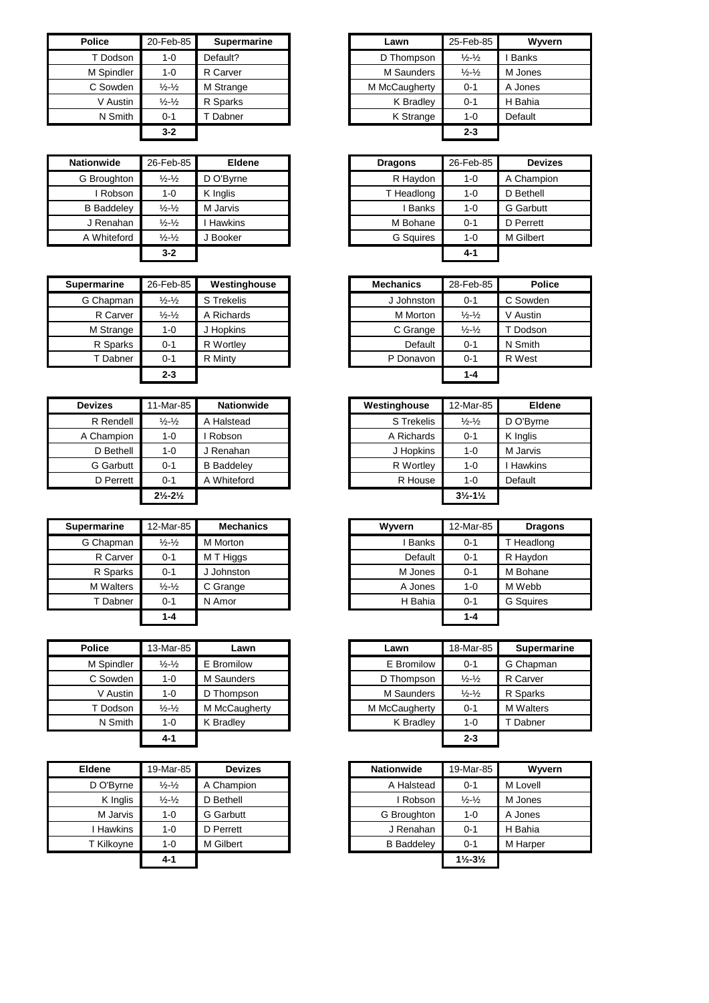| <b>Police</b> | 20-Feb-85                   | <b>Supermarine</b> | Lawn          | 25-Feb-85                   |
|---------------|-----------------------------|--------------------|---------------|-----------------------------|
| T Dodson      | 1-0                         | Default?           | D Thompson    | $\frac{1}{2} - \frac{1}{2}$ |
| M Spindler    | $1 - 0$                     | R Carver           | M Saunders    | $\frac{1}{2} - \frac{1}{2}$ |
| C Sowden      | $\frac{1}{2} - \frac{1}{2}$ | M Strange          | M McCaugherty | $0 - 1$                     |
| V Austin      | $\frac{1}{2} - \frac{1}{2}$ | R Sparks           | K Bradley     | $0 - 1$                     |
| N Smith       | $0 - 1$                     | Dabner             | K Strange     | $1 - 0$                     |
|               | $3 - 2$                     |                    |               | $2 - 3$                     |

| <b>Nationwide</b> | 26-Feb-85                     | <b>Eldene</b>  | <b>Dragons</b>   | 26-Feb-85 | <b>Devizes</b>   |
|-------------------|-------------------------------|----------------|------------------|-----------|------------------|
| G Broughton       | $\frac{1}{2}$ - $\frac{1}{2}$ | D O'Byrne      | R Haydon         | $1 - 0$   | A Champion       |
| Robson            | 1-0                           | K Inglis       | T Headlong       | 1-0       | D Bethell        |
| <b>B</b> Baddeley | $\frac{1}{2}$ - $\frac{1}{2}$ | M Jarvis       | Banks            | $1 - 0$   | <b>G</b> Garbutt |
| J Renahan         | $\frac{1}{2}$ - $\frac{1}{2}$ | <b>Hawkins</b> | M Bohane         | $0 - 1$   | D Perrett        |
| A Whiteford       | $\frac{1}{2}$ - $\frac{1}{2}$ | J Booker       | <b>G</b> Squires | $1 - 0$   | M Gilbert        |
|                   | $3 - 2$                       |                |                  | $4 - 1$   |                  |

| <b>Supermarine</b> | 26-Feb-85                     | Westinghouse | <b>Mechanics</b> | 28-Feb-85                   | <b>Police</b> |
|--------------------|-------------------------------|--------------|------------------|-----------------------------|---------------|
| G Chapman          | $\frac{1}{2}$ - $\frac{1}{2}$ | S Trekelis   | J Johnston       | $0 - 1$                     | C Sowden      |
| R Carver           | $\frac{1}{2} - \frac{1}{2}$   | A Richards   | M Morton         | $\frac{1}{2} - \frac{1}{2}$ | V Austin      |
| M Strange          | 1-0                           | J Hopkins    | C Grange         | $\frac{1}{2} - \frac{1}{2}$ | Dodson        |
| R Sparks           | $0 - 1$                       | R Wortley    | Default          | $0 - 1$                     | N Smith       |
| T Dabner           | $0 - 1$                       | R Minty      | P Donavon        | $0 - 1$                     | R West        |
|                    | $2 - 3$                       |              |                  | $1 - 4$                     |               |

| <b>Devizes</b> | 11-Mar-85                     | <b>Nationwide</b> | Westinghouse | 12-Mar-85                     |          |
|----------------|-------------------------------|-------------------|--------------|-------------------------------|----------|
| R Rendell      | $\frac{1}{2} - \frac{1}{2}$   | A Halstead        | S Trekelis   | $\frac{1}{2} - \frac{1}{2}$   | D O'By   |
| A Champion     | $1 - 0$                       | Robson            | A Richards   | $0 - 1$                       | K Inglis |
| D Bethell      | $1 - 0$                       | J Renahan         | J Hopkins    | $1 - 0$                       | M Jarvi  |
| G Garbutt      | $0 - 1$                       | <b>B</b> Baddelev | R Wortley    | $1 - 0$                       | Hawki    |
| D Perrett      | $0 - 1$                       | A Whiteford       | R House      | $1 - 0$                       | Default  |
|                | $2\frac{1}{2} - 2\frac{1}{2}$ |                   |              | $3\frac{1}{2} - 1\frac{1}{2}$ |          |

| <b>Supermarine</b> | 12-Mar-85                     | <b>Mechanics</b> | Wyvern       | 12-Mar-85 | <b>Dragons</b>   |
|--------------------|-------------------------------|------------------|--------------|-----------|------------------|
| G Chapman          | $\frac{1}{2}$ - $\frac{1}{2}$ | M Morton         | <b>Banks</b> | $0 - 1$   | T Headlong       |
| R Carver           | $0 - 1$                       | M T Higgs        | Default      | $0 - 1$   | R Haydon         |
| R Sparks           | $0 - 1$                       | J Johnston       | M Jones      | $0 - 1$   | M Bohane         |
| M Walters          | $\frac{1}{2}$ - $\frac{1}{2}$ | C Grange         | A Jones      | $1 - 0$   | M Webb           |
| T Dabner           | $0 - 1$                       | N Amor           | H Bahia      | $0 - 1$   | <b>G</b> Sauires |
|                    | $1 - 4$                       |                  |              | $1 - 4$   |                  |

| <b>Police</b> | 13-Mar-85                   | Lawn          | Lawn          | 18-Mar-85                   | Super    |
|---------------|-----------------------------|---------------|---------------|-----------------------------|----------|
| M Spindler    | $\frac{1}{2} - \frac{1}{2}$ | E Bromilow    | E Bromilow    | $0 - 1$                     | G Chapn  |
| C Sowden      | $1 - 0$                     | M Saunders    | D Thompson    | $\frac{1}{2} - \frac{1}{2}$ | R Carver |
| V Austin      | $1 - 0$                     | D Thompson    | M Saunders    | $\frac{1}{2} - \frac{1}{2}$ | R Sparks |
| T Dodson      | $\frac{1}{2} - \frac{1}{2}$ | M McCaugherty | M McCaugherty | $0 - 1$                     | M Walter |
| N Smith       | $1 - 0$                     | K Bradley     | K Bradley     | $1 - 0$                     | Dabne    |
|               | $4 - 1$                     |               |               | $2 - 3$                     |          |

| <b>Eldene</b> | 19-Mar-85                     | <b>Devizes</b>   | Nationwide        | 19-Mar-85                     |          |
|---------------|-------------------------------|------------------|-------------------|-------------------------------|----------|
| D O'Byrne     | $\frac{1}{2} - \frac{1}{2}$   | A Champion       | A Halstead        | $0 - 1$                       | M Lovell |
| K Inglis      | $\frac{1}{2}$ - $\frac{1}{2}$ | D Bethell        | i Robson          | $\frac{1}{2} - \frac{1}{2}$   | M Jones  |
| M Jarvis      | $1 - 0$                       | <b>G</b> Garbutt | G Broughton       | 1-0                           | A Jones  |
| Hawkins       | $1 - 0$                       | D Perrett        | J Renahan         | $0 - 1$                       | H Bahia  |
| T Kilkoyne    | $1 - 0$                       | M Gilbert        | <b>B</b> Baddelev | $0 - 1$                       | M Harper |
|               | 4-1                           |                  |                   | $1\frac{1}{2} - 3\frac{1}{2}$ |          |

| Police     | 20-Feb-85                   | <b>Supermarine</b> | Lawn          | 25-Feb-85                   | Wyvern       |
|------------|-----------------------------|--------------------|---------------|-----------------------------|--------------|
| T Dodson   | $1 - 0$                     | Default?           | D Thompson    | $\frac{1}{2} - \frac{1}{2}$ | <b>Banks</b> |
| M Spindler | 1-0                         | R Carver           | M Saunders    | $\frac{1}{2} - \frac{1}{2}$ | M Jones      |
| C Sowden   | $\frac{1}{2} - \frac{1}{2}$ | M Strange          | M McCaugherty | $0 - 1$                     | A Jones      |
| V Austin   | $\frac{1}{2} - \frac{1}{2}$ | R Sparks           | K Bradley     | $0 - 1$                     | H Bahia      |
| N Smith    | $0 - 1$                     | Dabner             | K Strange     | $1 - 0$                     | Default      |
|            | $3 - 2$                     |                    |               | $2 - 3$                     |              |

| ationwide         | 26-Feb-85                   | <b>Eldene</b>  | <b>Dragons</b>   | 26-Feb-85 | <b>Devizes</b>   |
|-------------------|-----------------------------|----------------|------------------|-----------|------------------|
| G Broughton       | $\frac{1}{2} - \frac{1}{2}$ | D O'Byrne      | R Haydon         | $1 - 0$   | A Champion       |
| I Robson          | 1-0                         | K Inglis       | T Headlong       | $1 - 0$   | D Bethell        |
| <b>B</b> Baddeley | $\frac{1}{2} - \frac{1}{2}$ | M Jarvis       | . Banks          | $1 - 0$   | <b>G</b> Garbutt |
| J Renahan         | $\frac{1}{2} - \frac{1}{2}$ | <b>Hawkins</b> | M Bohane         | $0 - 1$   | D Perrett        |
| A Whiteford       | $\frac{1}{2} - \frac{1}{2}$ | l Booker       | <b>G</b> Squires | $1 - 0$   | M Gilbert        |
|                   | $3 - 2$                     |                |                  | $4 - 1$   |                  |

| $Feb-85$                      | Westinghouse | <b>Mechanics</b> | 28-Feb-85                     | <b>Police</b> |
|-------------------------------|--------------|------------------|-------------------------------|---------------|
| $\frac{1}{2}$ - $\frac{1}{2}$ | S Trekelis   | J Johnston       | $0 - 1$                       | C Sowden      |
| $\frac{1}{2}$ $\frac{1}{2}$   | A Richards   | M Morton         | $\frac{1}{2}$ - $\frac{1}{2}$ | V Austin      |
| $1 - 0$                       | J Hopkins    | C Grange         | $\frac{1}{2}$ - $\frac{1}{2}$ | T Dodson      |
| $0 - 1$                       | R Wortley    | Default          | $0 - 1$                       | N Smith       |
| $0 - 1$                       | R Minty      | P Donavon        | $0 - 1$                       | R West        |
| $2 - 3$                       |              |                  | $1 - 4$                       |               |

| <b>Devizes</b>   | 11-Mar-85                     | <b>Nationwide</b> | Westinghouse | 12-Mar-85                     | <b>Eldene</b> |
|------------------|-------------------------------|-------------------|--------------|-------------------------------|---------------|
| R Rendell        | $\frac{1}{2} - \frac{1}{2}$   | A Halstead        | S Trekelis   | $\frac{1}{2} - \frac{1}{2}$   | D O'Byrne     |
| A Champion       | $1 - 0$                       | Robson            | A Richards   | $0 - 1$                       | K Inglis      |
| D Bethell        | $1 - 0$                       | J Renahan         | J Hopkins    | $1 - 0$                       | M Jarvis      |
| <b>G</b> Garbutt | $0 - 1$                       | <b>B</b> Baddeley | R Wortley    | $1 - 0$                       | Hawkins       |
| D Perrett        | $0 - 1$                       | A Whiteford       | R House      | $1 - 0$                       | Default       |
|                  | $2\frac{1}{2} - 2\frac{1}{2}$ |                   |              | $3\frac{1}{2} - 1\frac{1}{2}$ |               |

| <b>ermarine</b>  | 12-Mar-85                   | <b>Mechanics</b> | Wyvern       | 12-Mar-85 | <b>Dragons</b>   |
|------------------|-----------------------------|------------------|--------------|-----------|------------------|
| G Chapman        | $\frac{1}{2} - \frac{1}{2}$ | M Morton         | <b>Banks</b> | $0 - 1$   | T Headlong       |
| R Carver         | $0 - 1$                     | M T Higgs        | Default      | $0 - 1$   | R Haydon         |
| R Sparks         | $0 - 1$                     | Johnston         | M Jones      | $0 - 1$   | M Bohane         |
| <b>M</b> Walters | $\frac{1}{2} - \frac{1}{2}$ | C Grange         | A Jones      | $1 - 0$   | M Webb           |
| T Dabner         | $0 - 1$                     | N Amor           | H Bahia      | $0 - 1$   | <b>G</b> Sauires |
|                  | $1 - 4$                     |                  |              | $1 - 4$   |                  |

| Police     | 13-Mar-85                   | Lawn          | Lawn          | 18-Mar-85                   | <b>Supermarine</b> |
|------------|-----------------------------|---------------|---------------|-----------------------------|--------------------|
| M Spindler | $\frac{1}{2} - \frac{1}{2}$ | E Bromilow    | E Bromilow    | $0 - 1$                     | G Chapman          |
| C Sowden   | $1 - 0$                     | M Saunders    | D Thompson    | $\frac{1}{2} - \frac{1}{2}$ | R Carver           |
| V Austin   | $1 - 0$                     | D Thompson    | M Saunders    | $\frac{1}{2} - \frac{1}{2}$ | R Sparks           |
| T Dodson   | $\frac{1}{2} - \frac{1}{2}$ | M McCaugherty | M McCaugherty | $0 - 1$                     | <b>M</b> Walters   |
| N Smith    | $1 - 0$                     | K Bradlev     | K Bradley     | $1 - 0$                     | T Dabner           |
|            | $4 - 1$                     |               |               | $2 - 3$                     |                    |

| <b>Eldene</b> | 19-Mar-85                   | <b>Devizes</b> | <b>Nationwide</b> | 19-Mar-85                     | Wyvern   |
|---------------|-----------------------------|----------------|-------------------|-------------------------------|----------|
| D O'Byrne     | $\frac{1}{2} - \frac{1}{2}$ | A Champion     | A Halstead        | $0 - 1$                       | M Lovell |
| K Inglis      | $\frac{1}{2} - \frac{1}{2}$ | D Bethell      | . Robson          | $\frac{1}{2} - \frac{1}{2}$   | M Jones  |
| M Jarvis      | 1-0                         | G Garbutt      | G Broughton       | $1 - 0$                       | A Jones  |
| Hawkins       | $1 - 0$                     | D Perrett      | J Renahan         | $0 - 1$                       | H Bahia  |
| T Kilkoyne    | 1-0                         | M Gilbert      | <b>B</b> Baddeley | $0 - 1$                       | M Harper |
|               | 4-1                         |                |                   | $1\frac{1}{2} - 3\frac{1}{2}$ |          |